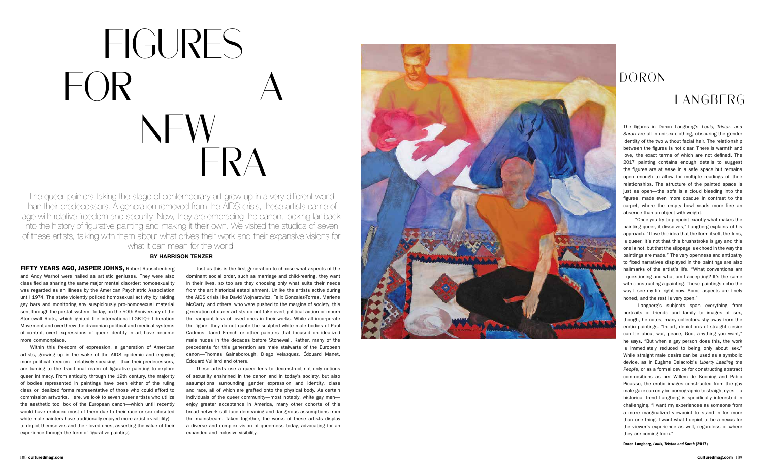The queer painters taking the stage of contemporary art grew up in a very different world than their predecessors. A generation removed from the AIDS crisis, these artists came of age with relative freedom and security. Now, they are embracing the canon, looking far back into the history of figurative painting and making it their own. We visited the studios of seven of these artists, talking with them about what drives their work and their expansive visions for what it can mean for the world.

#### **BY HARRISON TENZER**

FIFTY YEARS AGO, JASPER JOHNS, Robert Rauschenberg and Andy Warhol were hailed as artistic geniuses. They were also classified as sharing the same major mental disorder: homosexuality was regarded as an illness by the American Psychiatric Association until 1974. The state violently policed homosexual activity by raiding gay bars and monitoring any suspiciously pro-homosexual material sent through the postal system. Today, on the 50th Anniversary of the Stonewall Riots, which ignited the international LGBTQ+ Liberation Movement and overthrew the draconian political and medical systems of control, overt expressions of queer identity in art have become more commonplace.

Within this freedom of expression, a generation of American artists, growing up in the wake of the AIDS epidemic and enjoying more political freedom—relatively speaking—than their predecessors, are turning to the traditional realm of figurative painting to explore queer intimacy. From antiquity through the 19th century, the majority of bodies represented in paintings have been either of the ruling class or idealized forms representative of those who could afford to commission artworks. Here, we look to seven queer artists who utilize the aesthetic tool box of the European canon—which until recently would have excluded most of them due to their race or sex (closeted white male painters have traditionally enjoyed more artistic visibility)to depict themselves and their loved ones, asserting the value of their experience through the form of figurative painting.

Just as this is the first generation to choose what aspects of the dominant social order, such as marriage and child-rearing, they want in their lives, so too are they choosing only what suits their needs from the art historical establishment. Unlike the artists active during the AIDS crisis like David Wojnarowicz, Felix Gonzalez-Torres, Marlene McCarty, and others, who were pushed to the margins of society, this generation of queer artists do not take overt political action or mourn the rampant loss of loved ones in their works. While all incorporate the figure, they do not quote the sculpted white male bodies of Paul Cadmus, Jared French or other painters that focused on idealized male nudes in the decades before Stonewall. Rather, many of the precedents for this generation are male stalwarts of the European canon—Thomas Gainsborough, Diego Velazquez, Édouard Manet, Édouard Vuillard and others.

These artists use a queer lens to deconstruct not only notions of sexuality enshrined in the canon and in today's society, but also assumptions surrounding gender expression and identity, class and race, all of which are grafted onto the physical body. As certain individuals of the queer community—most notably, white gay men enjoy greater acceptance in America, many other cohorts of this broad network still face demeaning and dangerous assumptions from the mainstream. Taken together, the works of these artists display a diverse and complex vision of queerness today, advocating for an expanded and inclusive visibility.



# FIGURES  $\mathsf{F} \mathsf{OR}$  NEW ERA

Doron Langberg, *Louis, Tristan and Sarah* (2017)

The figures in Doron Langberg's *Louis, Tristan and Sarah* are all in unisex clothing, obscuring the gender identity of the two without facial hair. The relationship between the figures is not clear. There is warmth and love, the exact terms of which are not defined. The 2017 painting contains enough details to suggest the figures are at ease in a safe space but remains open enough to allow for multiple readings of their relationships. The structure of the painted space is just as open—the sofa is a cloud bleeding into the figures, made even more opaque in contrast to the carpet, where the empty bowl reads more like an absence than an object with weight.

 "Once you try to pinpoint exactly what makes the painting queer, it dissolves," Langberg explains of his approach. "I love the idea that the form itself, the lens, is queer. It's not that this brushstroke is gay and this one is not, but that the slippage is echoed in the way the paintings are made." The very openness and antipathy to fixed narratives displayed in the paintings are also hallmarks of the artist's life. "What conventions am I questioning and what am I accepting? It's the same with constructing a painting. These paintings echo the way I see my life right now. Some aspects are finely honed, and the rest is very open."

 Langberg's subjects span everything from portraits of friends and family to images of sex, though, he notes, many collectors shy away from the erotic paintings. "In art, depictions of straight desire can be about war, peace, God, anything you want," he says. "But when a gay person does this, the work is immediately reduced to being only about sex." While straight male desire can be used as a symbolic device, as in Eugène Delacroix's *Liberty Leading the People*, or as a formal device for constructing abstract compositions as per Willem de Kooning and Pablo Picasso, the erotic images constructed from the gay male gaze can only be pornographic to straight eyes—a historical trend Langberg is specifically interested in challenging. "I want my experiences as someone from a more marginalized viewpoint to stand in for more than one thing. I want what I depict to be a nexus for the viewer's experience as well, regardless of where they are coming from."

## DORON

### LANGBERG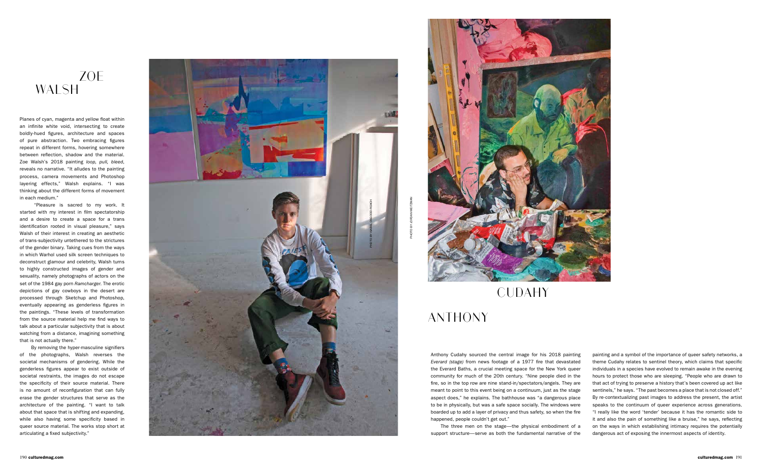Planes of cyan, magenta and yellow float within an infinite white void, intersecting to create boldly-hued figures, architecture and spaces of pure abstraction. Two embracing figures repeat in different forms, hovering somewhere between reflection, shadow and the material. Zoe Walsh's 2018 painting *loop, pull, bleed*, reveals no narrative. "It alludes to the painting process, camera movements and Photoshop layering effects," Walsh explains. "I was thinking about the different forms of movement in each medium."

 "Pleasure is sacred to my work. It started with my interest in film spectatorship and a desire to create a space for a trans identification rooted in visual pleasure," says Walsh of their interest in creating an aesthetic of trans-subjectivity untethered to the strictures of the gender binary. Taking cues from the ways in which Warhol used silk screen techniques to deconstruct glamour and celebrity, Walsh turns to highly constructed images of gender and sexuality, namely photographs of actors on the set of the 1984 gay porn *Ramcharger*. The erotic depictions of gay cowboys in the desert are processed through Sketchup and Photoshop, eventually appearing as genderless figures in the paintings. "These levels of transformation from the source material help me find ways to talk about a particular subjectivity that is about watching from a distance, imagining something that is not actually there."

 By removing the hyper-masculine signifiers of the photographs, Walsh reverses the societal mechanisms of gendering. While the genderless figures appear to exist outside of societal restraints, the images do not escape the specificity of their source material. There is no amount of reconfiguration that can fully erase the gender structures that serve as the architecture of the painting. "I want to talk about that space that is shifting and expanding, while also having some specificity based in queer source material. The works stop short at articulating a fixed subjectivity."

#### ZOE WALSH

Anthony Cudahy sourced the central image for his 2018 painting *Everard (stage)* from news footage of a 1977 fire that devastated the Everard Baths, a crucial meeting space for the New York queer community for much of the 20th century. "Nine people died in the fire, so in the top row are nine stand-in/spectators/angels. They are meant to point to this event being on a continuum, just as the stage aspect does," he explains. The bathhouse was "a dangerous place to be in physically, but was a safe space socially. The windows were boarded up to add a layer of privacy and thus safety, so when the fire happened, people couldn't get out."

The three men on the stage—the physical embodiment of a support structure—serve as both the fundamental narrative of the





painting and a symbol of the importance of queer safety networks, a theme Cudahy relates to sentinel theory, which claims that specific individuals in a species have evolved to remain awake in the evening hours to protect those who are sleeping. "People who are drawn to that act of trying to preserve a history that's been covered up act like sentinels," he says. "The past becomes a place that is not closed off." By re-contextualizing past images to address the present, the artist speaks to the continuum of queer experience across generations. "I really like the word 'tender' because it has the romantic side to it and also the pain of something like a bruise," he says, reflecting on the ways in which establishing intimacy requires the potentially dangerous act of exposing the innermost aspects of identity.

### ANTHONY

#### CUDAHY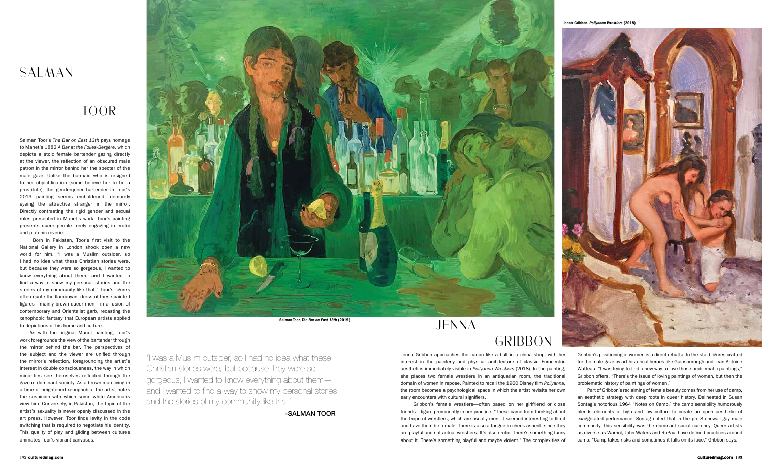

Salman Toor's *The Bar on East 13th* pays homage to Manet's 1882 *A Bar at the Folies-Bergère*, which depicts a stoic female bartender gazing directly at the viewer, the reflection of an obscured male patron in the mirror behind her the specter of the male gaze. Unlike the barmaid who is resigned to her objectification (some believe her to be a prostitute), the genderqueer bartender in Toor's 2019 painting seems emboldened, demurely eyeing the attractive stranger in the mirror. Directly contrasting the rigid gender and sexual roles presented in Manet's work, Toor's painting presents queer people freely engaging in erotic and platonic reverie.

 Born in Pakistan, Toor's first visit to the National Gallery in London shook open a new world for him. "I was a Muslim outsider, so I had no idea what these Christian stories were, but because they were so gorgeous, I wanted to know everything about them—and I wanted to find a way to show my personal stories and the stories of my community like that." Toor's figures often quote the flamboyant dress of these painted figures—mainly brown queer men—in a fusion of contemporary and Orientalist garb, recasting the xenophobic fantasy that European artists applied to depictions of his home and culture.

As with the original Manet painting, Toor's work foregrounds the view of the bartender through the mirror behind the bar. The perspectives of the subject and the viewer are unified through the mirror's reflection, foregrounding the artist's interest in double consciousness, the way in which minorities see themselves reflected through the gaze of dominant society. As a brown man living in a time of heightened xenophobia, the artist notes the suspicion with which some white Americans view him. Conversely, in Pakistan, the topic of the artist's sexuality is never openly discussed in the art press. However, Toor finds levity in the code switching that is required to negotiate his identity. This quality of play and gliding between cultures animates Toor's vibrant canvases.

#### SALMAN

#### TOOR



"I was a Muslim outsider, so I had no idea what these Christian stories were, but because they were so gorgeous, I wanted to know everything about them and I wanted to find a way to show my personal stories and the stories of my community like that."

-SALMAN TOOR

#### JENNA

Jenna Gribbon approaches the canon like a bull in a china shop, with her interest in the painterly and physical architecture of classic Eurocentric aesthetics immediately visible in *Pollyanna Wrestlers* (2018). In the painting, she places two female wrestlers in an antiquarian room, the traditional domain of women in repose. Painted to recall the 1960 Disney film *Pollyanna*, the room becomes a psychological space in which the artist revisits her own early encounters with cultural signifiers.

 Gribbon's female wrestlers—often based on her girlfriend or close friends—figure prominently in her practice. "These came from thinking about the trope of wrestlers, which are usually men. It seemed interesting to flip it and have them be female. There is also a tongue-in-cheek aspect, since they are playful and not actual wrestlers. It's also erotic. There's something funny about it. There's something playful and maybe violent." The complexities of

Gribbon's positioning of women is a direct rebuttal to the staid figures crafted for the male gaze by art historical heroes like Gainsborough and Jean-Antoine Watteau. "I was trying to find a new way to love those problematic paintings," Gribbon offers. "There's the issue of loving paintings of women, but then the problematic history of paintings of women."

Part of Gribbon's reclaiming of female beauty comes from her use of camp, an aesthetic strategy with deep roots in queer history. Delineated in Susan Sontag's notorious 1964 "Notes on Camp," the camp sensibility humorously blends elements of high and low culture to create an open aesthetic of exaggerated performance. Sontag noted that in the pre-Stonewall gay male community, this sensibility was the dominant social currency. Queer artists as diverse as Warhol, John Waters and RuPaul have defined practices around camp. "Camp takes risks and sometimes it falls on its face," Gribbon says.





#### **GRIBBON**